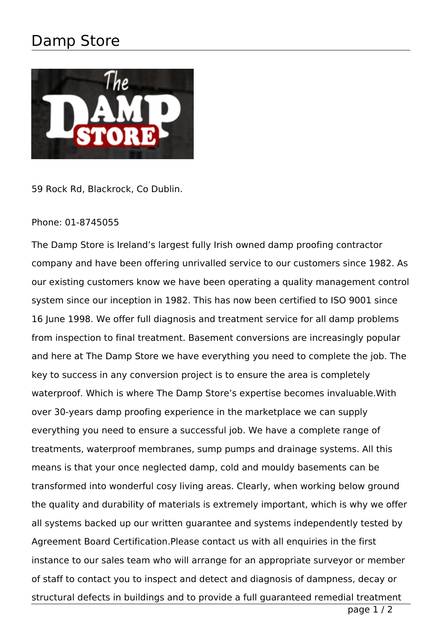## Damp Store



59 Rock Rd, Blackrock, Co Dublin.

## Phone: 01-8745055

The Damp Store is Ireland's largest fully Irish owned damp proofing contractor company and have been offering unrivalled service to our customers since 1982. As our existing customers know we have been operating a quality management control system since our inception in 1982. This has now been certified to ISO 9001 since 16 June 1998. We offer full diagnosis and treatment service for all damp problems from inspection to final treatment. Basement conversions are increasingly popular and here at The Damp Store we have everything you need to complete the job. The key to success in any conversion project is to ensure the area is completely waterproof. Which is where The Damp Store's expertise becomes invaluable.With over 30-years damp proofing experience in the marketplace we can supply everything you need to ensure a successful job. We have a complete range of treatments, waterproof membranes, sump pumps and drainage systems. All this means is that your once neglected damp, cold and mouldy basements can be transformed into wonderful cosy living areas. Clearly, when working below ground the quality and durability of materials is extremely important, which is why we offer all systems backed up our written guarantee and systems independently tested by Agreement Board Certification.Please contact us with all enquiries in the first instance to our sales team who will arrange for an appropriate surveyor or member of staff to contact you to inspect and detect and diagnosis of dampness, decay or structural defects in buildings and to provide a full guaranteed remedial treatment